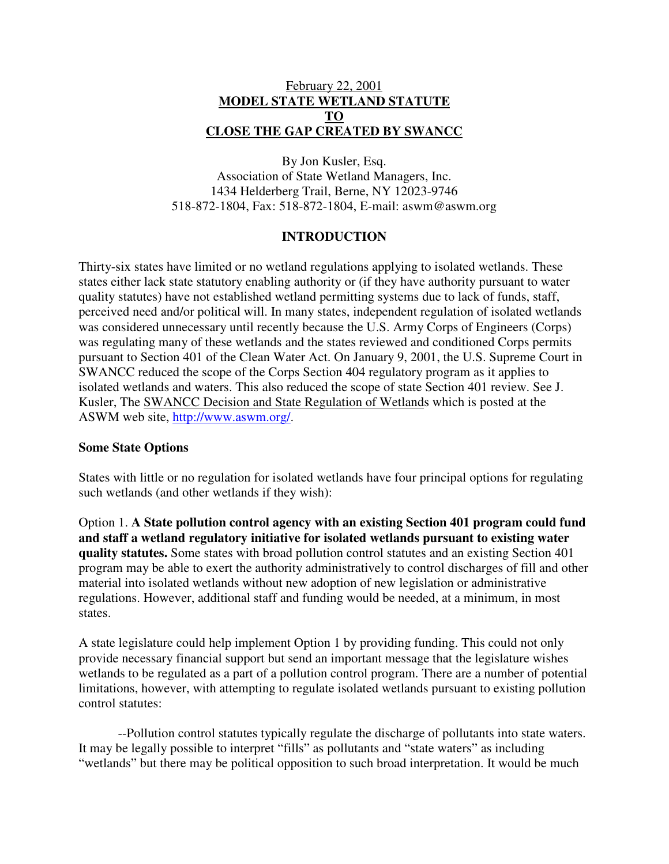# February 22, 2001 **MODEL STATE WETLAND STATUTE TO CLOSE THE GAP CREATED BY SWANCC**

By Jon Kusler, Esq. Association of State Wetland Managers, Inc. 1434 Helderberg Trail, Berne, NY 12023-9746 518-872-1804, Fax: 518-872-1804, E-mail: aswm@aswm.org

### **INTRODUCTION**

Thirty-six states have limited or no wetland regulations applying to isolated wetlands. These states either lack state statutory enabling authority or (if they have authority pursuant to water quality statutes) have not established wetland permitting systems due to lack of funds, staff, perceived need and/or political will. In many states, independent regulation of isolated wetlands was considered unnecessary until recently because the U.S. Army Corps of Engineers (Corps) was regulating many of these wetlands and the states reviewed and conditioned Corps permits pursuant to Section 401 of the Clean Water Act. On January 9, 2001, the U.S. Supreme Court in SWANCC reduced the scope of the Corps Section 404 regulatory program as it applies to isolated wetlands and waters. This also reduced the scope of state Section 401 review. See J. Kusler, The SWANCC Decision and State Regulation of Wetlands which is posted at the ASWM web site, http://www.aswm.org/.

### **Some State Options**

States with little or no regulation for isolated wetlands have four principal options for regulating such wetlands (and other wetlands if they wish):

Option 1. **A State pollution control agency with an existing Section 401 program could fund and staff a wetland regulatory initiative for isolated wetlands pursuant to existing water quality statutes.** Some states with broad pollution control statutes and an existing Section 401 program may be able to exert the authority administratively to control discharges of fill and other material into isolated wetlands without new adoption of new legislation or administrative regulations. However, additional staff and funding would be needed, at a minimum, in most states.

A state legislature could help implement Option 1 by providing funding. This could not only provide necessary financial support but send an important message that the legislature wishes wetlands to be regulated as a part of a pollution control program. There are a number of potential limitations, however, with attempting to regulate isolated wetlands pursuant to existing pollution control statutes:

--Pollution control statutes typically regulate the discharge of pollutants into state waters. It may be legally possible to interpret "fills" as pollutants and "state waters" as including "wetlands" but there may be political opposition to such broad interpretation. It would be much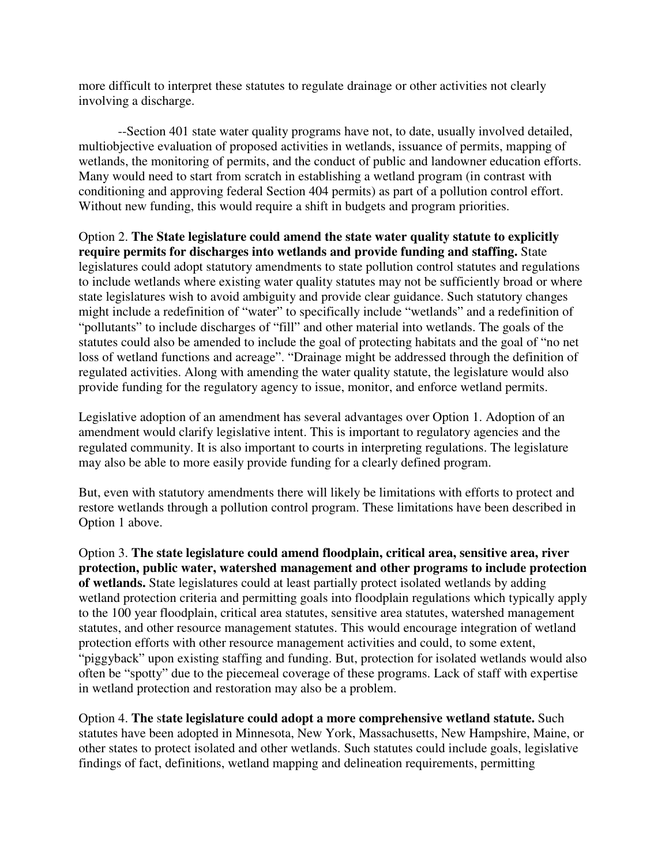more difficult to interpret these statutes to regulate drainage or other activities not clearly involving a discharge.

--Section 401 state water quality programs have not, to date, usually involved detailed, multiobjective evaluation of proposed activities in wetlands, issuance of permits, mapping of wetlands, the monitoring of permits, and the conduct of public and landowner education efforts. Many would need to start from scratch in establishing a wetland program (in contrast with conditioning and approving federal Section 404 permits) as part of a pollution control effort. Without new funding, this would require a shift in budgets and program priorities.

Option 2. **The State legislature could amend the state water quality statute to explicitly require permits for discharges into wetlands and provide funding and staffing.** State legislatures could adopt statutory amendments to state pollution control statutes and regulations to include wetlands where existing water quality statutes may not be sufficiently broad or where state legislatures wish to avoid ambiguity and provide clear guidance. Such statutory changes might include a redefinition of "water" to specifically include "wetlands" and a redefinition of "pollutants" to include discharges of "fill" and other material into wetlands. The goals of the statutes could also be amended to include the goal of protecting habitats and the goal of "no net loss of wetland functions and acreage". "Drainage might be addressed through the definition of regulated activities. Along with amending the water quality statute, the legislature would also provide funding for the regulatory agency to issue, monitor, and enforce wetland permits.

Legislative adoption of an amendment has several advantages over Option 1. Adoption of an amendment would clarify legislative intent. This is important to regulatory agencies and the regulated community. It is also important to courts in interpreting regulations. The legislature may also be able to more easily provide funding for a clearly defined program.

But, even with statutory amendments there will likely be limitations with efforts to protect and restore wetlands through a pollution control program. These limitations have been described in Option 1 above.

Option 3. **The state legislature could amend floodplain, critical area, sensitive area, river protection, public water, watershed management and other programs to include protection of wetlands.** State legislatures could at least partially protect isolated wetlands by adding wetland protection criteria and permitting goals into floodplain regulations which typically apply to the 100 year floodplain, critical area statutes, sensitive area statutes, watershed management statutes, and other resource management statutes. This would encourage integration of wetland protection efforts with other resource management activities and could, to some extent, "piggyback" upon existing staffing and funding. But, protection for isolated wetlands would also often be "spotty" due to the piecemeal coverage of these programs. Lack of staff with expertise in wetland protection and restoration may also be a problem.

Option 4. **The** s**tate legislature could adopt a more comprehensive wetland statute.** Such statutes have been adopted in Minnesota, New York, Massachusetts, New Hampshire, Maine, or other states to protect isolated and other wetlands. Such statutes could include goals, legislative findings of fact, definitions, wetland mapping and delineation requirements, permitting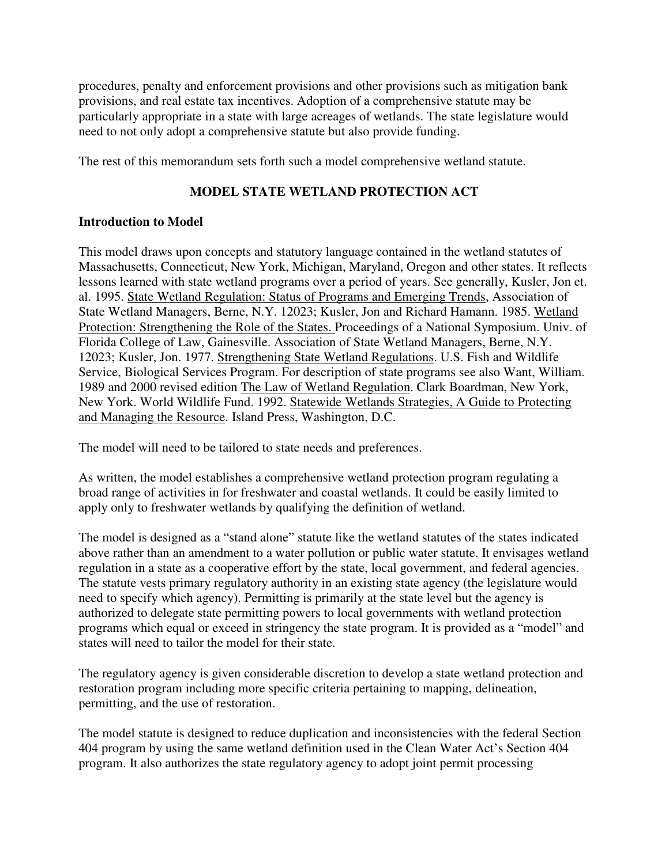procedures, penalty and enforcement provisions and other provisions such as mitigation bank provisions, and real estate tax incentives. Adoption of a comprehensive statute may be particularly appropriate in a state with large acreages of wetlands. The state legislature would need to not only adopt a comprehensive statute but also provide funding.

The rest of this memorandum sets forth such a model comprehensive wetland statute.

# **MODEL STATE WETLAND PROTECTION ACT**

# **Introduction to Model**

This model draws upon concepts and statutory language contained in the wetland statutes of Massachusetts, Connecticut, New York, Michigan, Maryland, Oregon and other states. It reflects lessons learned with state wetland programs over a period of years. See generally, Kusler, Jon et. al. 1995. State Wetland Regulation: Status of Programs and Emerging Trends, Association of State Wetland Managers, Berne, N.Y. 12023; Kusler, Jon and Richard Hamann. 1985. Wetland Protection: Strengthening the Role of the States. Proceedings of a National Symposium. Univ. of Florida College of Law, Gainesville. Association of State Wetland Managers, Berne, N.Y. 12023; Kusler, Jon. 1977. Strengthening State Wetland Regulations. U.S. Fish and Wildlife Service, Biological Services Program. For description of state programs see also Want, William. 1989 and 2000 revised edition The Law of Wetland Regulation. Clark Boardman, New York, New York. World Wildlife Fund. 1992. Statewide Wetlands Strategies, A Guide to Protecting and Managing the Resource. Island Press, Washington, D.C.

The model will need to be tailored to state needs and preferences.

As written, the model establishes a comprehensive wetland protection program regulating a broad range of activities in for freshwater and coastal wetlands. It could be easily limited to apply only to freshwater wetlands by qualifying the definition of wetland.

The model is designed as a "stand alone" statute like the wetland statutes of the states indicated above rather than an amendment to a water pollution or public water statute. It envisages wetland regulation in a state as a cooperative effort by the state, local government, and federal agencies. The statute vests primary regulatory authority in an existing state agency (the legislature would need to specify which agency). Permitting is primarily at the state level but the agency is authorized to delegate state permitting powers to local governments with wetland protection programs which equal or exceed in stringency the state program. It is provided as a "model" and states will need to tailor the model for their state.

The regulatory agency is given considerable discretion to develop a state wetland protection and restoration program including more specific criteria pertaining to mapping, delineation, permitting, and the use of restoration.

The model statute is designed to reduce duplication and inconsistencies with the federal Section 404 program by using the same wetland definition used in the Clean Water Act's Section 404 program. It also authorizes the state regulatory agency to adopt joint permit processing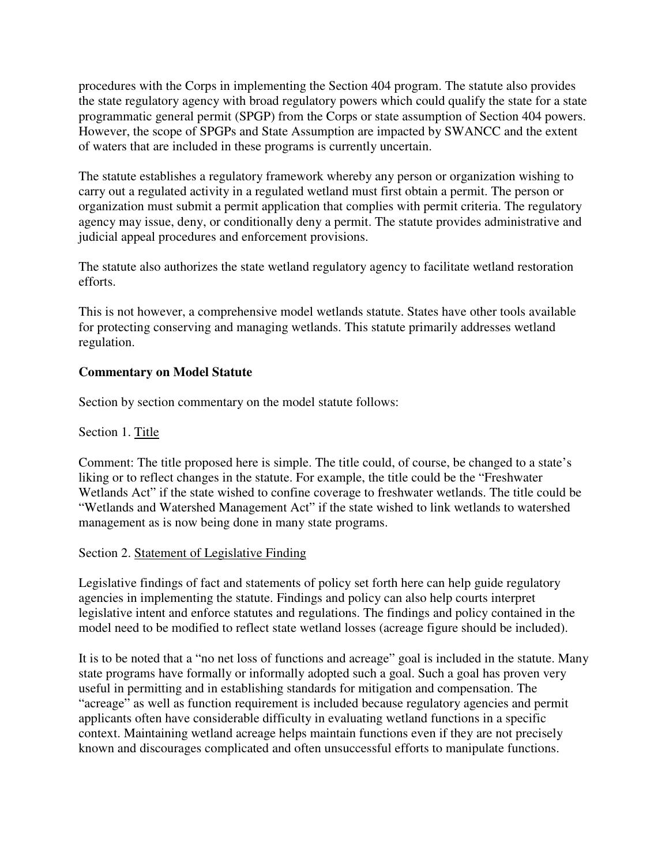procedures with the Corps in implementing the Section 404 program. The statute also provides the state regulatory agency with broad regulatory powers which could qualify the state for a state programmatic general permit (SPGP) from the Corps or state assumption of Section 404 powers. However, the scope of SPGPs and State Assumption are impacted by SWANCC and the extent of waters that are included in these programs is currently uncertain.

The statute establishes a regulatory framework whereby any person or organization wishing to carry out a regulated activity in a regulated wetland must first obtain a permit. The person or organization must submit a permit application that complies with permit criteria. The regulatory agency may issue, deny, or conditionally deny a permit. The statute provides administrative and judicial appeal procedures and enforcement provisions.

The statute also authorizes the state wetland regulatory agency to facilitate wetland restoration efforts.

This is not however, a comprehensive model wetlands statute. States have other tools available for protecting conserving and managing wetlands. This statute primarily addresses wetland regulation.

# **Commentary on Model Statute**

Section by section commentary on the model statute follows:

Section 1. Title

Comment: The title proposed here is simple. The title could, of course, be changed to a state's liking or to reflect changes in the statute. For example, the title could be the "Freshwater Wetlands Act" if the state wished to confine coverage to freshwater wetlands. The title could be "Wetlands and Watershed Management Act" if the state wished to link wetlands to watershed management as is now being done in many state programs.

### Section 2. Statement of Legislative Finding

Legislative findings of fact and statements of policy set forth here can help guide regulatory agencies in implementing the statute. Findings and policy can also help courts interpret legislative intent and enforce statutes and regulations. The findings and policy contained in the model need to be modified to reflect state wetland losses (acreage figure should be included).

It is to be noted that a "no net loss of functions and acreage" goal is included in the statute. Many state programs have formally or informally adopted such a goal. Such a goal has proven very useful in permitting and in establishing standards for mitigation and compensation. The "acreage" as well as function requirement is included because regulatory agencies and permit applicants often have considerable difficulty in evaluating wetland functions in a specific context. Maintaining wetland acreage helps maintain functions even if they are not precisely known and discourages complicated and often unsuccessful efforts to manipulate functions.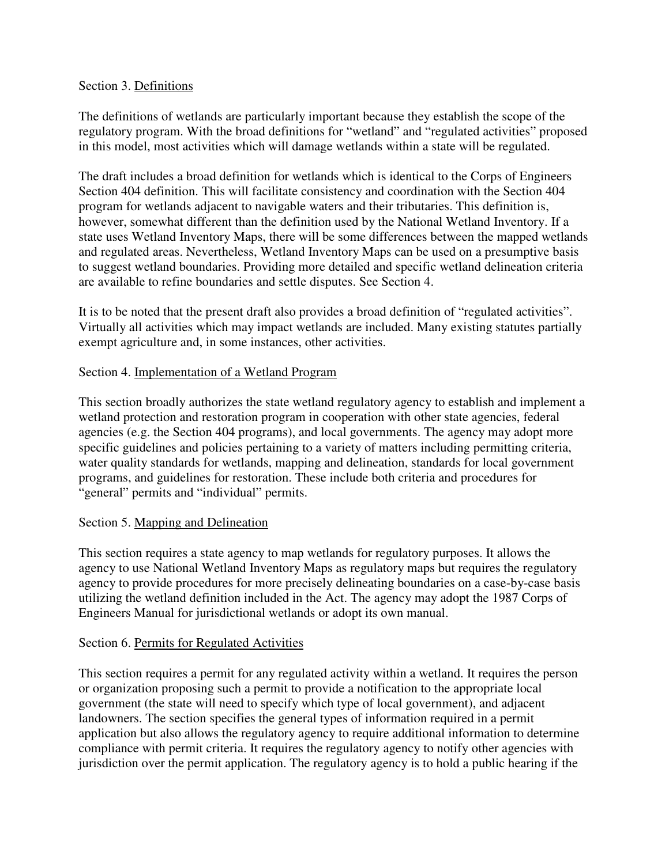#### Section 3. Definitions

The definitions of wetlands are particularly important because they establish the scope of the regulatory program. With the broad definitions for "wetland" and "regulated activities" proposed in this model, most activities which will damage wetlands within a state will be regulated.

The draft includes a broad definition for wetlands which is identical to the Corps of Engineers Section 404 definition. This will facilitate consistency and coordination with the Section 404 program for wetlands adjacent to navigable waters and their tributaries. This definition is, however, somewhat different than the definition used by the National Wetland Inventory. If a state uses Wetland Inventory Maps, there will be some differences between the mapped wetlands and regulated areas. Nevertheless, Wetland Inventory Maps can be used on a presumptive basis to suggest wetland boundaries. Providing more detailed and specific wetland delineation criteria are available to refine boundaries and settle disputes. See Section 4.

It is to be noted that the present draft also provides a broad definition of "regulated activities". Virtually all activities which may impact wetlands are included. Many existing statutes partially exempt agriculture and, in some instances, other activities.

### Section 4. Implementation of a Wetland Program

This section broadly authorizes the state wetland regulatory agency to establish and implement a wetland protection and restoration program in cooperation with other state agencies, federal agencies (e.g. the Section 404 programs), and local governments. The agency may adopt more specific guidelines and policies pertaining to a variety of matters including permitting criteria, water quality standards for wetlands, mapping and delineation, standards for local government programs, and guidelines for restoration. These include both criteria and procedures for "general" permits and "individual" permits.

### Section 5. Mapping and Delineation

This section requires a state agency to map wetlands for regulatory purposes. It allows the agency to use National Wetland Inventory Maps as regulatory maps but requires the regulatory agency to provide procedures for more precisely delineating boundaries on a case-by-case basis utilizing the wetland definition included in the Act. The agency may adopt the 1987 Corps of Engineers Manual for jurisdictional wetlands or adopt its own manual.

### Section 6. Permits for Regulated Activities

This section requires a permit for any regulated activity within a wetland. It requires the person or organization proposing such a permit to provide a notification to the appropriate local government (the state will need to specify which type of local government), and adjacent landowners. The section specifies the general types of information required in a permit application but also allows the regulatory agency to require additional information to determine compliance with permit criteria. It requires the regulatory agency to notify other agencies with jurisdiction over the permit application. The regulatory agency is to hold a public hearing if the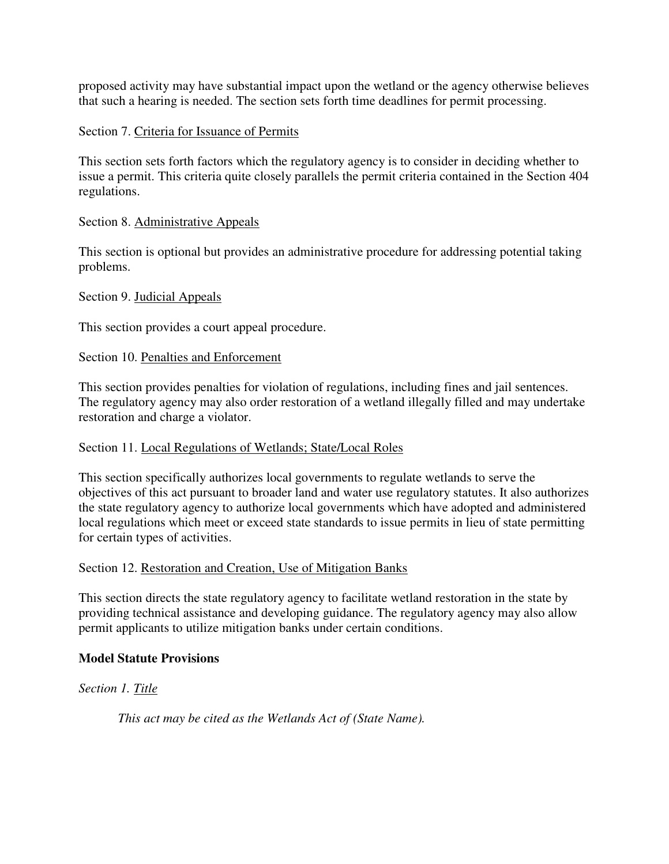proposed activity may have substantial impact upon the wetland or the agency otherwise believes that such a hearing is needed. The section sets forth time deadlines for permit processing.

# Section 7. Criteria for Issuance of Permits

This section sets forth factors which the regulatory agency is to consider in deciding whether to issue a permit. This criteria quite closely parallels the permit criteria contained in the Section 404 regulations.

# Section 8. Administrative Appeals

This section is optional but provides an administrative procedure for addressing potential taking problems.

# Section 9. Judicial Appeals

This section provides a court appeal procedure.

# Section 10. Penalties and Enforcement

This section provides penalties for violation of regulations, including fines and jail sentences. The regulatory agency may also order restoration of a wetland illegally filled and may undertake restoration and charge a violator.

### Section 11. Local Regulations of Wetlands; State/Local Roles

This section specifically authorizes local governments to regulate wetlands to serve the objectives of this act pursuant to broader land and water use regulatory statutes. It also authorizes the state regulatory agency to authorize local governments which have adopted and administered local regulations which meet or exceed state standards to issue permits in lieu of state permitting for certain types of activities.

### Section 12. Restoration and Creation, Use of Mitigation Banks

This section directs the state regulatory agency to facilitate wetland restoration in the state by providing technical assistance and developing guidance. The regulatory agency may also allow permit applicants to utilize mitigation banks under certain conditions.

### **Model Statute Provisions**

# *Section 1. Title*

*This act may be cited as the Wetlands Act of (State Name).*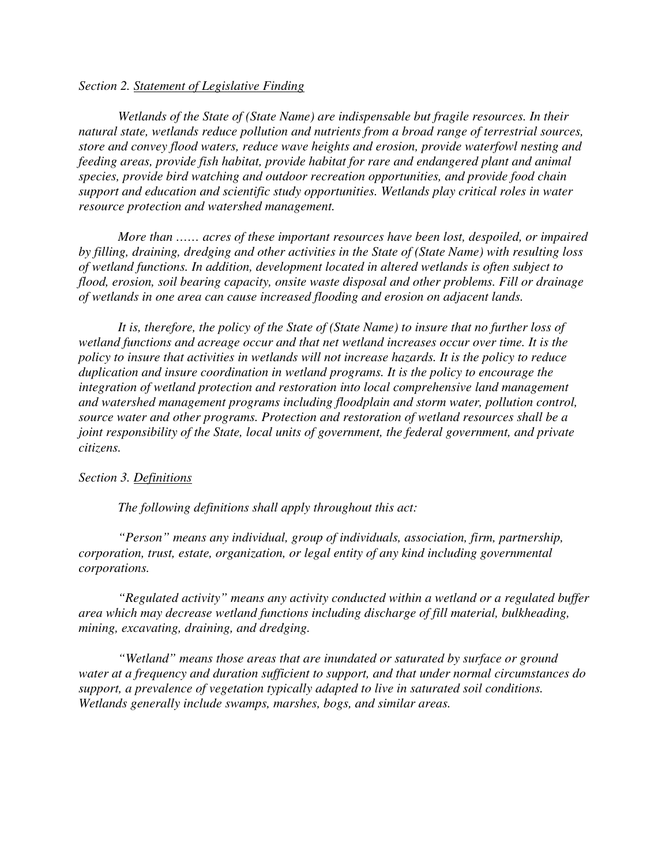#### *Section 2. Statement of Legislative Finding*

*Wetlands of the State of (State Name) are indispensable but fragile resources. In their natural state, wetlands reduce pollution and nutrients from a broad range of terrestrial sources, store and convey flood waters, reduce wave heights and erosion, provide waterfowl nesting and feeding areas, provide fish habitat, provide habitat for rare and endangered plant and animal species, provide bird watching and outdoor recreation opportunities, and provide food chain support and education and scientific study opportunities. Wetlands play critical roles in water resource protection and watershed management.* 

*More than …… acres of these important resources have been lost, despoiled, or impaired by filling, draining, dredging and other activities in the State of (State Name) with resulting loss of wetland functions. In addition, development located in altered wetlands is often subject to flood, erosion, soil bearing capacity, onsite waste disposal and other problems. Fill or drainage of wetlands in one area can cause increased flooding and erosion on adjacent lands.* 

*It is, therefore, the policy of the State of (State Name) to insure that no further loss of wetland functions and acreage occur and that net wetland increases occur over time. It is the policy to insure that activities in wetlands will not increase hazards. It is the policy to reduce duplication and insure coordination in wetland programs. It is the policy to encourage the integration of wetland protection and restoration into local comprehensive land management and watershed management programs including floodplain and storm water, pollution control, source water and other programs. Protection and restoration of wetland resources shall be a joint responsibility of the State, local units of government, the federal government, and private citizens.* 

#### *Section 3. Definitions*

*The following definitions shall apply throughout this act:* 

*"Person" means any individual, group of individuals, association, firm, partnership, corporation, trust, estate, organization, or legal entity of any kind including governmental corporations.* 

*"Regulated activity" means any activity conducted within a wetland or a regulated buffer area which may decrease wetland functions including discharge of fill material, bulkheading, mining, excavating, draining, and dredging.* 

*"Wetland" means those areas that are inundated or saturated by surface or ground water at a frequency and duration sufficient to support, and that under normal circumstances do support, a prevalence of vegetation typically adapted to live in saturated soil conditions. Wetlands generally include swamps, marshes, bogs, and similar areas.*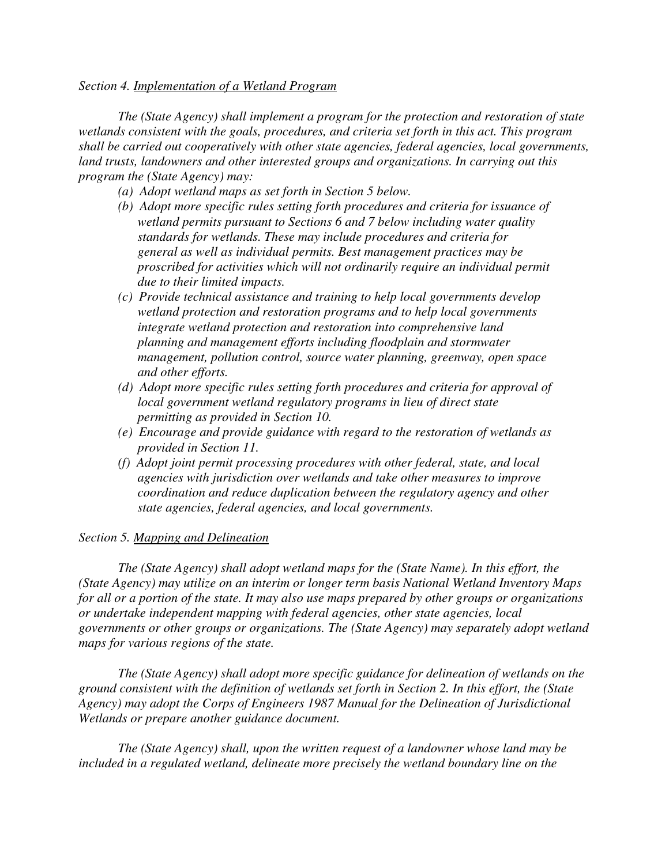#### *Section 4. Implementation of a Wetland Program*

*The (State Agency) shall implement a program for the protection and restoration of state wetlands consistent with the goals, procedures, and criteria set forth in this act. This program shall be carried out cooperatively with other state agencies, federal agencies, local governments, land trusts, landowners and other interested groups and organizations. In carrying out this program the (State Agency) may:* 

- *(a) Adopt wetland maps as set forth in Section 5 below.*
- *(b) Adopt more specific rules setting forth procedures and criteria for issuance of wetland permits pursuant to Sections 6 and 7 below including water quality standards for wetlands. These may include procedures and criteria for general as well as individual permits. Best management practices may be proscribed for activities which will not ordinarily require an individual permit due to their limited impacts.*
- *(c) Provide technical assistance and training to help local governments develop wetland protection and restoration programs and to help local governments integrate wetland protection and restoration into comprehensive land planning and management efforts including floodplain and stormwater management, pollution control, source water planning, greenway, open space and other efforts.*
- *(d) Adopt more specific rules setting forth procedures and criteria for approval of local government wetland regulatory programs in lieu of direct state permitting as provided in Section 10.*
- *(e) Encourage and provide guidance with regard to the restoration of wetlands as provided in Section 11.*
- *(f) Adopt joint permit processing procedures with other federal, state, and local agencies with jurisdiction over wetlands and take other measures to improve coordination and reduce duplication between the regulatory agency and other state agencies, federal agencies, and local governments.*

### *Section 5. Mapping and Delineation*

*The (State Agency) shall adopt wetland maps for the (State Name). In this effort, the (State Agency) may utilize on an interim or longer term basis National Wetland Inventory Maps for all or a portion of the state. It may also use maps prepared by other groups or organizations or undertake independent mapping with federal agencies, other state agencies, local governments or other groups or organizations. The (State Agency) may separately adopt wetland maps for various regions of the state.* 

*The (State Agency) shall adopt more specific guidance for delineation of wetlands on the ground consistent with the definition of wetlands set forth in Section 2. In this effort, the (State Agency) may adopt the Corps of Engineers 1987 Manual for the Delineation of Jurisdictional Wetlands or prepare another guidance document.* 

*The (State Agency) shall, upon the written request of a landowner whose land may be*  included in a regulated wetland, delineate more precisely the wetland boundary line on the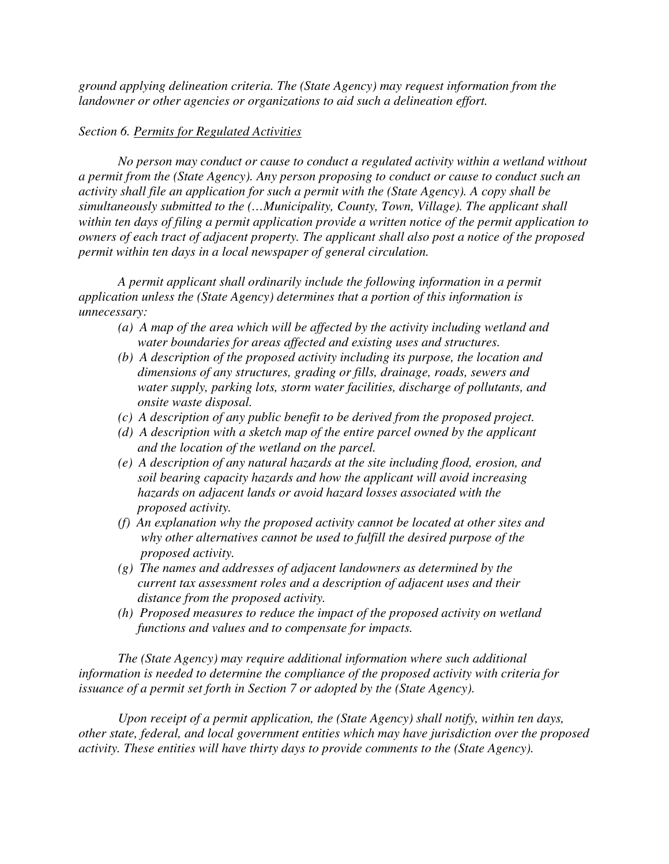*ground applying delineation criteria. The (State Agency) may request information from the landowner or other agencies or organizations to aid such a delineation effort.* 

### *Section 6. Permits for Regulated Activities*

*No person may conduct or cause to conduct a regulated activity within a wetland without a permit from the (State Agency). Any person proposing to conduct or cause to conduct such an activity shall file an application for such a permit with the (State Agency). A copy shall be simultaneously submitted to the (…Municipality, County, Town, Village). The applicant shall within ten days of filing a permit application provide a written notice of the permit application to owners of each tract of adjacent property. The applicant shall also post a notice of the proposed permit within ten days in a local newspaper of general circulation.* 

*A permit applicant shall ordinarily include the following information in a permit application unless the (State Agency) determines that a portion of this information is unnecessary:* 

- *(a) A map of the area which will be affected by the activity including wetland and water boundaries for areas affected and existing uses and structures.*
- *(b) A description of the proposed activity including its purpose, the location and dimensions of any structures, grading or fills, drainage, roads, sewers and water supply, parking lots, storm water facilities, discharge of pollutants, and onsite waste disposal.*
- *(c) A description of any public benefit to be derived from the proposed project.*
- *(d) A description with a sketch map of the entire parcel owned by the applicant and the location of the wetland on the parcel.*
- *(e) A description of any natural hazards at the site including flood, erosion, and soil bearing capacity hazards and how the applicant will avoid increasing hazards on adjacent lands or avoid hazard losses associated with the proposed activity.*
- *(f) An explanation why the proposed activity cannot be located at other sites and why other alternatives cannot be used to fulfill the desired purpose of the proposed activity.*
- *(g) The names and addresses of adjacent landowners as determined by the current tax assessment roles and a description of adjacent uses and their distance from the proposed activity.*
- *(h) Proposed measures to reduce the impact of the proposed activity on wetland functions and values and to compensate for impacts.*

*The (State Agency) may require additional information where such additional information is needed to determine the compliance of the proposed activity with criteria for issuance of a permit set forth in Section 7 or adopted by the (State Agency).* 

*Upon receipt of a permit application, the (State Agency) shall notify, within ten days, other state, federal, and local government entities which may have jurisdiction over the proposed activity. These entities will have thirty days to provide comments to the (State Agency).*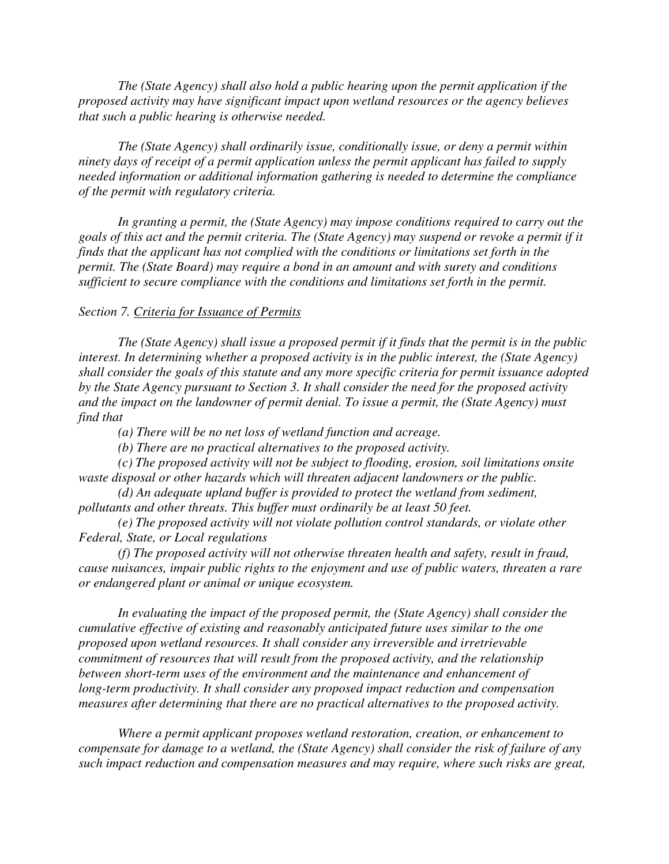*The (State Agency) shall also hold a public hearing upon the permit application if the proposed activity may have significant impact upon wetland resources or the agency believes that such a public hearing is otherwise needed.* 

*The (State Agency) shall ordinarily issue, conditionally issue, or deny a permit within ninety days of receipt of a permit application unless the permit applicant has failed to supply needed information or additional information gathering is needed to determine the compliance of the permit with regulatory criteria.* 

*In granting a permit, the (State Agency) may impose conditions required to carry out the goals of this act and the permit criteria. The (State Agency) may suspend or revoke a permit if it finds that the applicant has not complied with the conditions or limitations set forth in the permit. The (State Board) may require a bond in an amount and with surety and conditions sufficient to secure compliance with the conditions and limitations set forth in the permit.* 

#### *Section 7. Criteria for Issuance of Permits*

*The (State Agency) shall issue a proposed permit if it finds that the permit is in the public interest. In determining whether a proposed activity is in the public interest, the (State Agency) shall consider the goals of this statute and any more specific criteria for permit issuance adopted by the State Agency pursuant to Section 3. It shall consider the need for the proposed activity and the impact on the landowner of permit denial. To issue a permit, the (State Agency) must find that* 

*(a) There will be no net loss of wetland function and acreage.* 

*(b) There are no practical alternatives to the proposed activity.* 

*(c) The proposed activity will not be subject to flooding, erosion, soil limitations onsite waste disposal or other hazards which will threaten adjacent landowners or the public.* 

*(d) An adequate upland buffer is provided to protect the wetland from sediment, pollutants and other threats. This buffer must ordinarily be at least 50 feet.* 

*(e) The proposed activity will not violate pollution control standards, or violate other Federal, State, or Local regulations* 

*(f) The proposed activity will not otherwise threaten health and safety, result in fraud, cause nuisances, impair public rights to the enjoyment and use of public waters, threaten a rare or endangered plant or animal or unique ecosystem.* 

*In evaluating the impact of the proposed permit, the (State Agency) shall consider the cumulative effective of existing and reasonably anticipated future uses similar to the one proposed upon wetland resources. It shall consider any irreversible and irretrievable commitment of resources that will result from the proposed activity, and the relationship between short-term uses of the environment and the maintenance and enhancement of long-term productivity. It shall consider any proposed impact reduction and compensation measures after determining that there are no practical alternatives to the proposed activity.* 

*Where a permit applicant proposes wetland restoration, creation, or enhancement to compensate for damage to a wetland, the (State Agency) shall consider the risk of failure of any such impact reduction and compensation measures and may require, where such risks are great,*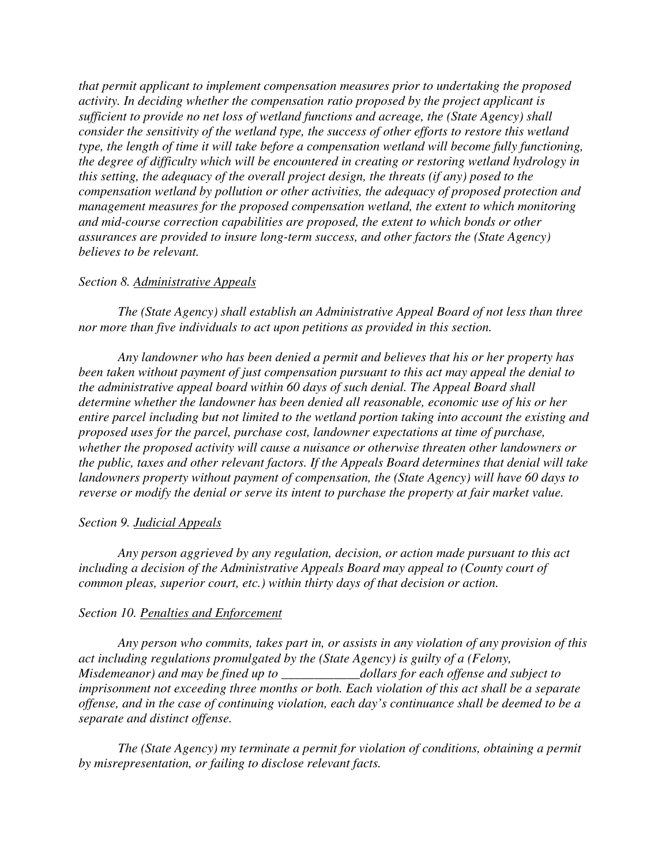*that permit applicant to implement compensation measures prior to undertaking the proposed activity. In deciding whether the compensation ratio proposed by the project applicant is sufficient to provide no net loss of wetland functions and acreage, the (State Agency) shall consider the sensitivity of the wetland type, the success of other efforts to restore this wetland type, the length of time it will take before a compensation wetland will become fully functioning, the degree of difficulty which will be encountered in creating or restoring wetland hydrology in this setting, the adequacy of the overall project design, the threats (if any) posed to the compensation wetland by pollution or other activities, the adequacy of proposed protection and management measures for the proposed compensation wetland, the extent to which monitoring and mid-course correction capabilities are proposed, the extent to which bonds or other assurances are provided to insure long-term success, and other factors the (State Agency) believes to be relevant.* 

#### *Section 8. Administrative Appeals*

*The (State Agency) shall establish an Administrative Appeal Board of not less than three nor more than five individuals to act upon petitions as provided in this section.* 

*Any landowner who has been denied a permit and believes that his or her property has been taken without payment of just compensation pursuant to this act may appeal the denial to the administrative appeal board within 60 days of such denial. The Appeal Board shall determine whether the landowner has been denied all reasonable, economic use of his or her entire parcel including but not limited to the wetland portion taking into account the existing and proposed uses for the parcel, purchase cost, landowner expectations at time of purchase, whether the proposed activity will cause a nuisance or otherwise threaten other landowners or the public, taxes and other relevant factors. If the Appeals Board determines that denial will take landowners property without payment of compensation, the (State Agency) will have 60 days to reverse or modify the denial or serve its intent to purchase the property at fair market value.* 

#### *Section 9. Judicial Appeals*

*Any person aggrieved by any regulation, decision, or action made pursuant to this act including a decision of the Administrative Appeals Board may appeal to (County court of common pleas, superior court, etc.) within thirty days of that decision or action.* 

#### *Section 10. Penalties and Enforcement*

*Any person who commits, takes part in, or assists in any violation of any provision of this act including regulations promulgated by the (State Agency) is guilty of a (Felony, Misdemeanor) and may be fined up to \_\_\_\_\_\_\_\_\_\_\_\_dollars for each offense and subject to imprisonment not exceeding three months or both. Each violation of this act shall be a separate offense, and in the case of continuing violation, each day's continuance shall be deemed to be a separate and distinct offense.* 

*The (State Agency) my terminate a permit for violation of conditions, obtaining a permit by misrepresentation, or failing to disclose relevant facts.*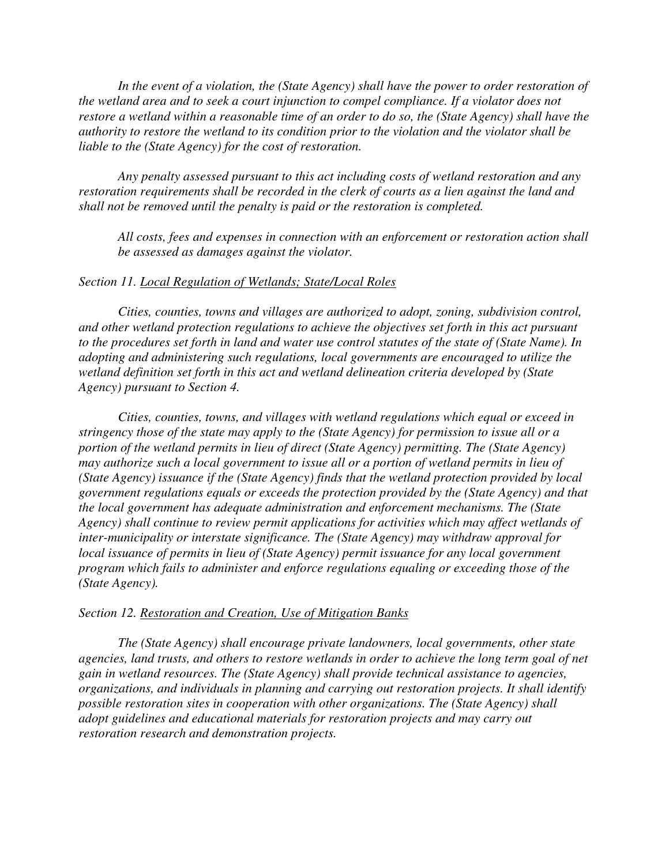*In the event of a violation, the (State Agency) shall have the power to order restoration of the wetland area and to seek a court injunction to compel compliance. If a violator does not restore a wetland within a reasonable time of an order to do so, the (State Agency) shall have the authority to restore the wetland to its condition prior to the violation and the violator shall be liable to the (State Agency) for the cost of restoration.* 

*Any penalty assessed pursuant to this act including costs of wetland restoration and any restoration requirements shall be recorded in the clerk of courts as a lien against the land and shall not be removed until the penalty is paid or the restoration is completed.* 

*All costs, fees and expenses in connection with an enforcement or restoration action shall be assessed as damages against the violator.* 

#### *Section 11. Local Regulation of Wetlands; State/Local Roles*

*Cities, counties, towns and villages are authorized to adopt, zoning, subdivision control, and other wetland protection regulations to achieve the objectives set forth in this act pursuant to the procedures set forth in land and water use control statutes of the state of (State Name). In adopting and administering such regulations, local governments are encouraged to utilize the wetland definition set forth in this act and wetland delineation criteria developed by (State Agency) pursuant to Section 4.* 

*Cities, counties, towns, and villages with wetland regulations which equal or exceed in stringency those of the state may apply to the (State Agency) for permission to issue all or a portion of the wetland permits in lieu of direct (State Agency) permitting. The (State Agency) may authorize such a local government to issue all or a portion of wetland permits in lieu of (State Agency) issuance if the (State Agency) finds that the wetland protection provided by local government regulations equals or exceeds the protection provided by the (State Agency) and that the local government has adequate administration and enforcement mechanisms. The (State Agency) shall continue to review permit applications for activities which may affect wetlands of inter-municipality or interstate significance. The (State Agency) may withdraw approval for local issuance of permits in lieu of (State Agency) permit issuance for any local government program which fails to administer and enforce regulations equaling or exceeding those of the (State Agency).* 

#### *Section 12. Restoration and Creation, Use of Mitigation Banks*

*The (State Agency) shall encourage private landowners, local governments, other state agencies, land trusts, and others to restore wetlands in order to achieve the long term goal of net gain in wetland resources. The (State Agency) shall provide technical assistance to agencies, organizations, and individuals in planning and carrying out restoration projects. It shall identify possible restoration sites in cooperation with other organizations. The (State Agency) shall adopt guidelines and educational materials for restoration projects and may carry out restoration research and demonstration projects.*